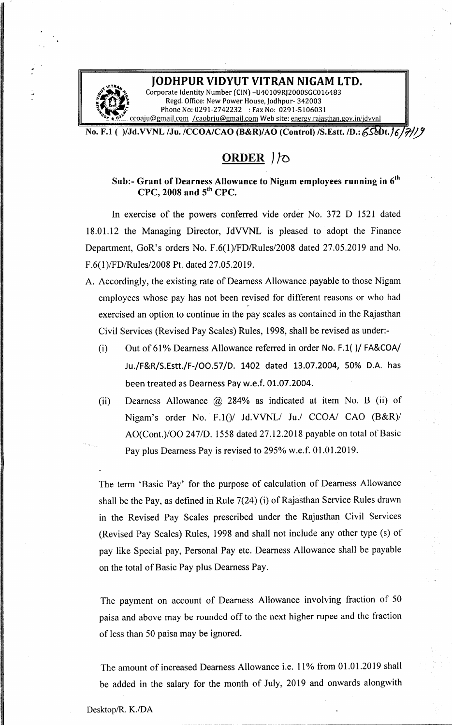### **JODHPUR VIDYUT VITRAN NIGAM LTD.**

Corporate Identity Number (CIN) -U40109RJ2000SGC016483  $\sum_{i=1}^{\infty}$   $\binom{n}{i}$  Corporate Identity Number (CIN) -U40109RJ2000SGC<br>5. Regd. Office: New Power House, Jodhpur- 34200 **1200 Regd. Office: New Power House, Jodhpur- 34200 Phone No: 0291-2742232 : Fax No: 0291-51060** paju@gmail.com [/caobrju@gmail.com](mailto:/caobrju@gmail.com) Web site: energy.rajasthan.gov.in/jdvvnl

No. F.l ( )/Jd.VVNL /Ju. /CCOA/CAO (B&R)/AO (Control) /S.Estt.ID.: *6SMlt.J6 111/*

# **ORDER** *JJn*

Sub:- Grant of Dearness Allowance to Nigam employees running in  $\boldsymbol{6}^{\text{th}}$ CPC, 2008 and  $5<sup>th</sup>$  CPC.

In exercise of the powers conferred vide order No. 372 D 1521 dated 18.0l.12 the Managing Director, JdVVNL is pleased to adopt the Finance Department, GoR's orders No. *F.6(l)/FDlRules/2008* dated 27.05.2019 and No. F.6(l)/FDlRules/2008 Pt. dated 27.05.2019.

- A. Accordingly, the existing rate of Dearness Allowance.payable to those Nigam employees whose pay has not been revised for different reasons or who had exercised an option to continue in the pay scales as contained in the Rajasthan Civil Services (Revised Pay Scales) Rules, 1998, shall be revised as under:-
	- (i) Out of  $61\%$  Dearness Allowance referred in order No. F.1()/ FA&COA/ Ju./F&R/S.Estt./F-/OO.57/D. 1402 dated 13.07.2004, 50% D.A. has been treated as Dearness Pay w.e.f. 01.07.2004.
	- (ii) Dearness Allowance @ 284% as indicated at item No. B (ii) of Nigam's order No. F.l()/ Jd.VVNL/ *Ju.l* CCOA/ CAO (B&R)/ *AO(Cont.)/OO 2471D.* 1558 dated 27.12.2018 payable on total of Basic Pay plus Dearness Pay is revised to 295% w.e.f. 01.01.2019.

The term 'Basic Pay' for the purpose of calculation of Dearness Allowance shall be the Pay, as defined in Rule 7(24) (i) of Rajasthan Service Rules drawn in the Revised Pay Scales prescribed under the Rajasthan Civil Services (Revised Pay Scales) Rules, 1998 and shall not include any other type (s) of pay like Special pay, Personal Pay etc. Dearness Allowance shall be payable on the total of Basic Pay plus Dearness Pay.

The payment on account of Dearness Allowance involving fraction of 50 paisa and above may be rounded off to the next higher rupee and the fraction of less than 50 paisa may be ignored.

The amount of increased Dearness Allowance i.e. 11% from 01.01.2019 shall be added in the salary for the month of July, 2019 and onwards alongwith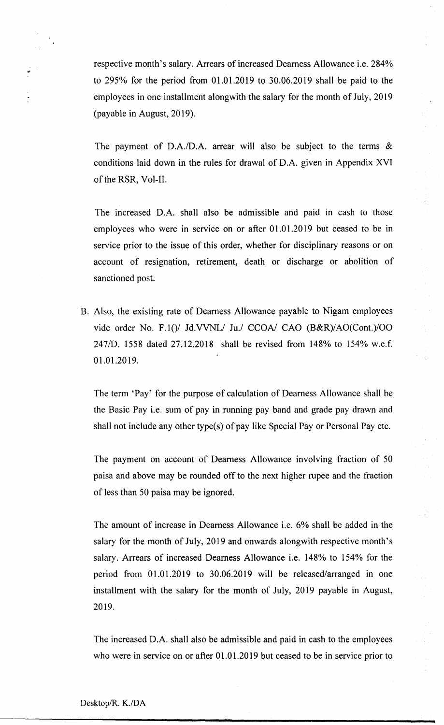respective month's salary. Arrears of increased Dearness Allowance i.e. 284% to 295% for the period from 01.01.2019 to 30.06.2019 shall be paid to the employees in one installment alongwith the salary for the month of July, 2019 (payable in August, 2019).

The payment of *D.A.ID.A.* arrear will also be subject to the terms & conditions laid down in the rules for drawal of D.A. given in Appendix XVI of the RSR, Vol-II.

The increased D.A. shall also be admissible and paid in cash to those employees who were in service on or after 01.01.2019 but ceased to be in service prior to the issue of this order, whether for disciplinary reasons or on account of resignation, retirement, death or discharge or abolition of sanctioned post.

B. Also, the existing rate of Dearness Allowance payable to Nigam employees vide order No. F.10/ Jd.VVNL/ Ju./ CCOA/ CAO (B&R)/AO(Cont.)/OO 247/D. 1558 dated 27.12.2018 shall be revised from 148% to 154% w.e.f. 01.01.2019.

The term 'Pay' for the purpose of calculation of Dearness Allowance shall be the Basic Pay i.e. sum of pay in running pay band and grade pay drawn and shall not include any other type(s) of pay like Special Payor Personal Pay etc.

The payment on account of Dearness Allowance involving fraction of 50 paisa and above may be rounded off to the next higher rupee and the fraction of less than 50 paisa may be ignored.

The amount of increase in Dearness Allowance i.e. 6% shall be added in the salary for the month of July, 2019 and onwards alongwith respective month's salary. Arrears of increased Dearness Allowance i.e. 148% to 154% for the period from 01.0l.2019 to 30.06.2019 will be released/arranged in one installment with the salary for the month of July, 2019 payable in August, 2019.

The increased D.A. shall also be admissible and paid in cash to the employees who were in service on or after 01.01.2019 but ceased to be in service prior to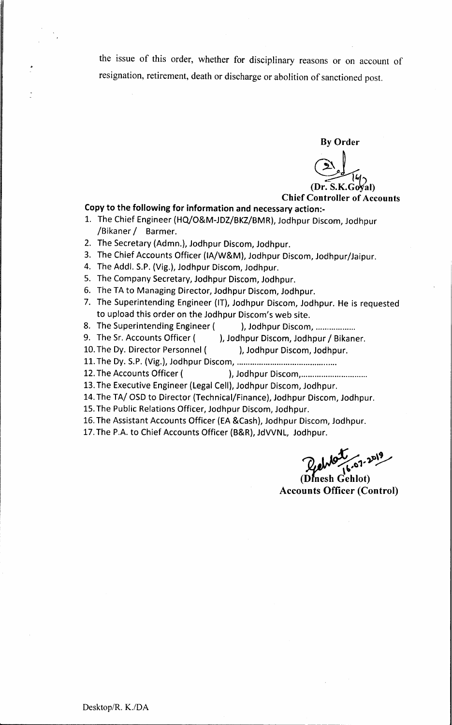the issue of this order, whether for disciplinary reasons or on account of resignation, retirement, death or discharge or abolition of sanctioned post.

By Order<br>  $\left(\begin{array}{c}\n\searrow \\
\searrow \\
\searrow \\
\searrow\n\end{array}\right)$ <br>
Dr. S.K.Goyal) (Dr.

Chief Controller of Accounts

#### Copy to the following for information and necessary action:-

- 1. The Chief Engineer (HQ/O&M-JDZ/BKZ/BMR), Jodhpur Discom, Jodhpur /Bikaner *I* Barrner.
- 2. The Secretary (Admn.), Jodhpur Discom, Jodhpur.
- 3. The Chief Accounts Officer (IA/W&M), Jodhpur Discom, Jodhpur/Jaipur.
- 4. The Addl. S.P. (Vig.), Jodhpur Discom, Jodhpur.
- 5. The Company Secretary, Jodhpur Discom, Jodhpur.
- 6. The TA to Managing Director, Jodhpur Discom, Jodhpur.
- 7. The Superintending Engineer (IT), Jodhpur Discom, Jodhpur. He is requested to upload this order on the Jodhpur Discom's web site.
- 8. The Superintending Engineer ( ), Jodhpur Discom, ..................
- 9. The Sr. Accounts Officer ( ), Jodhpur Discom, Jodhpur / Bikaner.
- 10. The Dy. Director Personnel ( ), Jodhpur Discom, Jodhpur.
- 11.The Dy. S.P.(Vig.), Jodhpur Discorn, .
- 12. The Accounts Officer ( ), Jodhpur Discom, ..................................
- 13. The Executive Engineer (Legal Cell), Jodhpur Discom, Jodhpur.
- 14. The TA/OSD to Director (Technical/Finance), Jodhpur Discom, Jodhpur.
- 15. The Public Relations Officer, Jodhpur Discom, Jodhpur.
- 16. The Assistant Accounts Officer (EA &Cash), Jodhpur Discom, Jodhpur.
- 17.The P.A. to Chief Accounts Officer (B&R), JdVVNL, Jodhpur.

(Dinesh Gehlot) **Accounts Officer (Control)**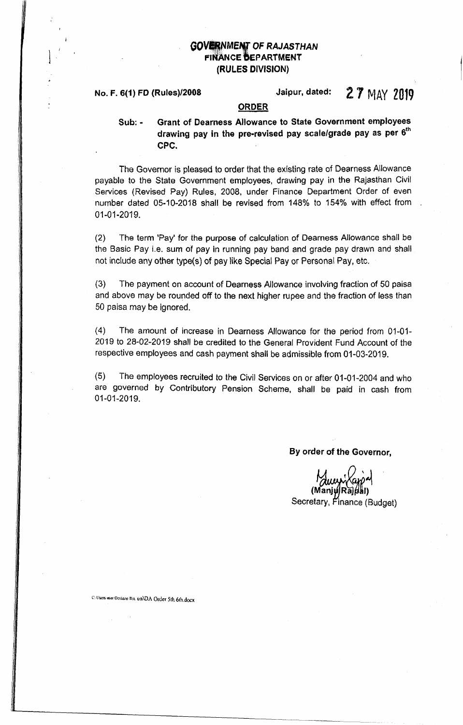# **GOVERNMENT OF RAJASTHAN** FINANCE DEPARTMENT (RULES DIVISION)

# No. F. 6(1) FD (Rules)/2008  $\blacksquare$  Jaipur, dated:  $\frac{27}{10}$  MAY 2019

# ORDER

Sub: - Grant of Dearness Allowance to State Government employees drawing pay in the pre-revised pay scale/grade pay as per  $\mathbf{6}^\text{th}$ CPC.

The Governor is pleased to order that the existing rate of Dearness Allowance payable to the State Government employees, drawing pay in the Rajasthan Civil Services (Revised Pay) Rules, 2008, under Finance Department Order of even number dated 05-10-2018 shall be revised from 148% to 154% with effect from 01-01-2019.

(2) The term 'Pay' for the purpose of calculation of Dearness Allowance shall be the Basic Pay i.e. sum of pay in running pay band and grade pay drawn and shall not include any other type(s) of pay like Special Payor Persona! Pay, etc.

(3) The payment on account of Dearness Allowance involving fraction of 50 paisa and above may be rounded off to the next higher rupee and the fraction of less than 50 paisa may be ignored.

(4) The amount of increase in Dearness Allowance for the period from 01-01- 2019 to 28-02-2019 shall be credited to the General Provident Fund Account of the respective employees and cash payment shall be admissible from 01-03-2019.

(5) The employees recruited to the Civil Services on or after 01-01-2004 and who are governed by Contributory Pension Scheme, shall be paid in cash from 01-01-2019.

### By order of the Governor,

Secretary, Finance (Budget)

C: Users (Iser Desktop DA 6th\DA Order 5th 6th.docx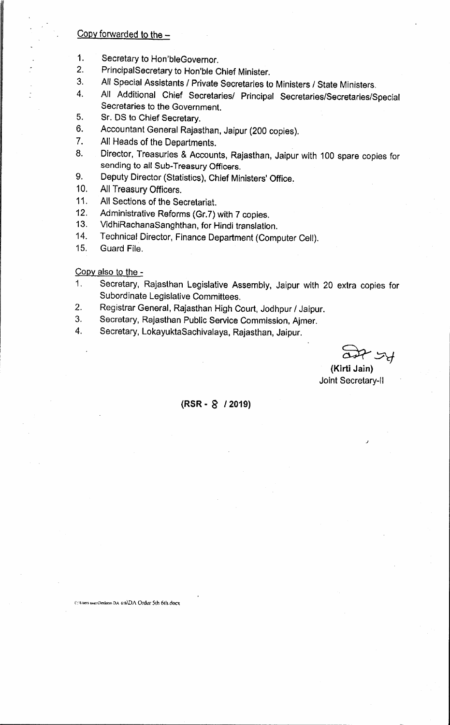#### Copy forwarded to the  $-$

- 1. Secretary to Hon'bleGovernor.
- 2. PrincipalSecretary to Hon'ble Chief Minister.
- 3. All Special Assistants / Private Secretaries to Ministers / State Ministers.
- 4. All Additional Chief Secretaries/ Principal Secretaries/Secretaries/Special Secretaries to the Government.
- 5. Sr. OS to Chief Secretary.
- 6. Accountant General Rajasthan, Jaipur (200 copies).
- 7. All Heads of the Departments.
- 8. Director, Treasuries & Accounts, Rajasthan, Jaipur with 100 spare copies for sending to all Sub-Treasury Officers.
- 9. Deputy Director (Statistics), Chief Ministers' Office.
- 10. All Treasury Officers.
- 11. All Sections of the Secretariat.
- 12. Administrative Reforms (Gr.7) with 7 copies.
- 13. VidhiRachanaSanghthan, for Hindi translation.
- 14. Technical Director, Finance Department (Computer Cell).
- 15. Guard File.

Copy also to the -

- 1. Secretary, Rajasthan Legislative Assembly, Jaipur with 20 extra copies for Subordinate Legislative Committees.
- 2. Registrar General, Rajasthan High Court, Jodhpur *I* Jaipur.
- 3. Secretary, Rajasthan Public Service Commission, Ajmer.
- 4. Secretary, LokayuktaSachivalaya, Rajasthan, Jaipur.

**ب** 

*J*

(Kirti Jain) Joint Secretary-II

### (RSR· g *12019)*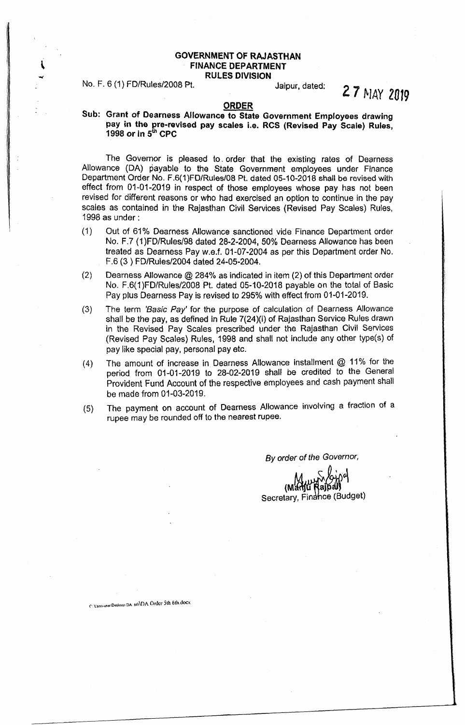# GOVERNMENT OF RAJASTHAN FINANCE DEPARTMENT

RULES DIVISION

## No. F. 6 (1) FD/Ruies/2008 Pt. Jaipur, dated:

2 7 MAY *2019*

#### ORDER

#### Sub: Grant of Dearness Allowance to State Government Employees drawing pay in the pre-revised pay scales i.e. RCS (Revised Pay Scale) Rules, 1998 or in 5<sup>th</sup> CPC

The Governor is pleased to order that the existing rates of Dearness Allowance (DA) payable to the State Government employees under Finance Department Order No. F.6(1)FD/Rules/08 Pt. dated 05-10-2018 shall be revised with effect from 01-01-2019 in respect of those employees whose pay has not been revised for different reasons or who had exercised an option to continue in the pay scales as contained in the Rajasthan Civil Services (Revised Pay Scales) Rules, 1998 as under:

- (1) Out of 61% Dearness Allowance sanctioned vide Finance Department order No. F.7 (1)FO/Rules/98 dated 28-2-2004, 50% Dearness Allowance has been treated as Dearness Pay w.e.f. 01-07-2004 as per this Department order No. F.6 (3 ) FD/Rules/2004 dated 24-05-2004.
- (2) Dearness Allowance @ 284% as indicated in item (2) of this Department order No. F.6(1)FD/Rules/2008 Pt. dated 05·10-2018 payable on the total of Basic Pay plus Dearness Pay is revised to 295% with effect from 01-01-2019.
- (3) The term *'Basic Pay'* for the purpose of calculation of Dearness Allowance shall be the pay, as defined in Rule 7(24)(i) of Rajasthan Service Rules drawn in the Revised Pay Scales prescribed under the Rajasthan Civil Services (Revised Pay Scales) Rules, 1998 and shall not include any other type(s) of pay like special pay, personal pay etc.
- The amount of increase in Dearness Allowance installment @ 11% for the period from 01-01-2019 to 28-02-2019 shall be credited to the General Provident Fund Account of the respective employees and cash payment shall be made from 01-03-2019. (4)
- The payment on account of Dearness Allowance involving a fraction of a rupee may be rounded off to the nearest rupee. (5)

*By order* of *the Governor,*

 $\zeta$  *pane*  $(M^{12}_{\text{H}})$ u Ra Secretary, Finahce (Budget

C. Users user Desktop DA 6th\DA Order 5th 6th.docx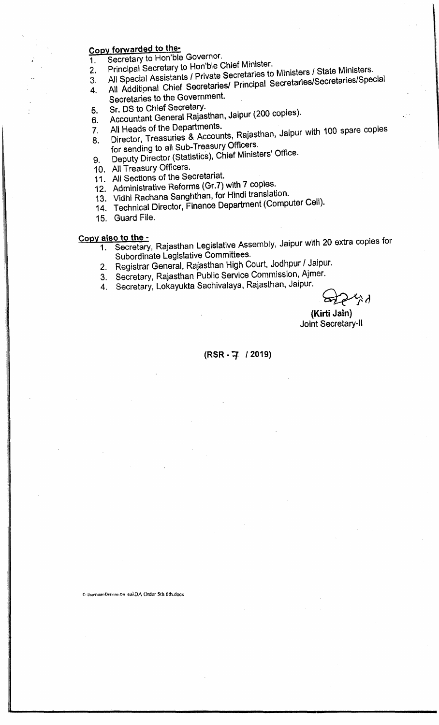# Copy forwarded to the-

1. Secretary to Hon'ble Governor.

- 2. Principal Secretary to Hon'ble Chief Minister.
- 3. All Special Assistants *I* Private Secretaries to Ministers *I* State Ministers.
- 4. All Additional Chief Secretaries/ Principal Secretaries/Secretaries/Special
- Secretaries to the Government.
- 5. Sr. DS to Chief Secretary. 6. Accountant General Rajasthan, Jaipur (200 copies).
- 
- 7. All Heads of the Departments. 8. Director, Treasuries & Accounts, Rajasthan, Jaipur with 100 spare copies for sending to all Sub-Treasury Officers.
- 9. Deputy Director (Statistics), Chief Ministers' Office.
- 10. All Treasury Officers.
- 11. All Sections of the Secretariat.
- 12. Administrative Reforms (Gr.7) with 7 copies.
- 13. Vidhi Rachana Sanghthan, for Hindi translation.
- 14. Technical Director, Finance Department (Computer Cell).
- 15. Guard File.

# Copy also to the -

- 1. Secretary, Rajasthan Legislative Assembly, Jaipur with 20 extra copies for Subordinate Legislative Committees.
- 2. Registrar General, Rajasthan High Court, Jodhpur *I* Jaipur.
- 3. Secretary, Rajasthan Public Service Commission, Ajmer.
- 4. Secretary, Lokayukta Sachivalaya, Rajasthan, Jaipur.

 $\Xi_2$ べん

(Kirti Jain) Joint Secretary-II

### (RSR-7 / 2019)

Culisers'user-Desktop-DA 6th\DA Order 5th 6th.docx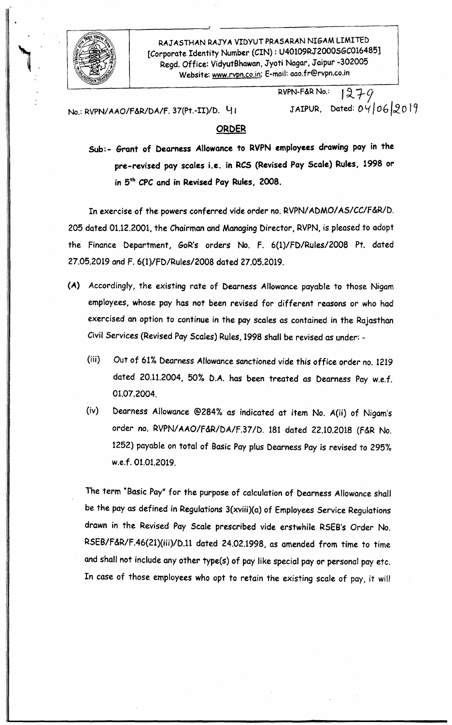

RAJ ASTHAN RAJYA VIDYUT PRASARAN NIGAM LIMITED [Corporate Identity Number *(CIN):* U40109RJ2000SGC016485] Regd. Office: VidyutBhawan, Jyoti Nagar, Jaipur -302005 Website: [www.rvpn.co.in;](http://www.rvpn.co.in;) E-mail: [aao.fr@rvpn.co.1n](mailto:aao.fr@rvpn.co.1n)

> RVPN-F&R No.:  $1279$ JAIPUR, Dated:  $04062019$

No.: RVPN/AAO/F&R/DA/F. 37(Pt.-II)/D. 41

#### ORDER

Sub:- Grant of Dearness Allowance to RVPN employees drawing pay in the pre-revised pay scales i.e. in RCS (Revised Pay Scale) Rules, 1998 or in 5 th *CPC* and in Revised Pay Rules, 2008.

In exercise of the powers conferred vide order no. RVPNI*ADMOI AS/CC/f&R/D.* 205 dated 01.12.2001, the Chairman and Managing Director, RVPN,is pleased to adopt the finance Department, GoR's orders No. f. *6(1)/fD/Rules/2008* Pt. dated 27.05.2019 and F. 6(1)/FD/Rules/2008 dated 27.05.2019.

- (A) Accordingly, the existing rate of Dearness Allowance payable to those Nigam employees, whose pay has not been revised for different reasons or who had exercised an option to continue in the pay scales as contained in the Rajasthan Civil Services (Revised Pay Scales) Rules, 1998 shall be revised as under: -
	- (iii) Out of 61% Dearness Allowance sanctioned vide this office order no. 1219 dated 20.11.2004, 50% D.A. has been treated as Dearness Pay w.e.f. 01.07.2004.
	- (iv) Dearness Allowance @284'0 as indicated at item No. A(ii) of Nigam's order no. RVPNIAAO/f&R/DA/f.37 *ID.* 181 dated 22.10.2018 (F&R No. 1252) payable on total of Basic Pay plus Dearness Pay is revised to 295% w.e.f.01.01.2019.

The term "Basic Pay" for the purpose of calculation of Dearness Allowance shall be the pay as defined in Regulations 3(xviii)(a) of Employees Service Regulations drawn in the Revised Pay Scale prescribed vide erstwhile RSEB's Order No. RSEB/F&R/F.46(21)(iii)/D.11 dated 24.02.1998, as amended from time to time and shall not include any other type(s) of pay like special payor personal pay etc. In case of those employees who opt to retain the existing scale of pay, it will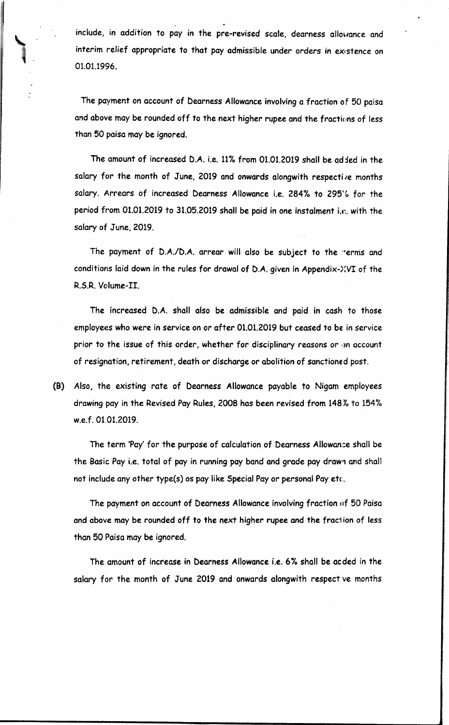include, in addition to pay in the pre-revised scale, dearness allowance and interim relief appropriate to that pay admissible under orders in existence on 01.01.1996.

The payment on account of Dearness Allowance involvinga fraction of 50 paisa and above may be rounded off to the next higher rupee and the fractions of less than 50 paisa may be ignored.

The amount of increased D.A. i.e.  $11\%$  from 01.01.2019 shall be added in the salary for the month of June, 2019 and onwards alongwith respective months salary. Arrears of increased Dearness Allowance i.e. 284% to 295% for the period from 01.01.2019 to 31.05.2019 shall be paid in one instalment i.e. with the salary of June, 2019.

The payment of D.A./D.A. arrear will also be subject to the "erms and conditions laid down in the rules for drawal of D.A.given in Appendix-)(VI of the R.S.R.Volume-II.

The increased D.A. shall also be admissible and paid in cash to those employees who were in service on or after 01.01.2019 but ceased to be in service prior to the issue of this order, whether for disciplinary reasons or ·m account of resignation, retirement, death or discharge or abolition of sanctioned post.

(8) Also, the existing rate of Dearness Allowance payable to Nigam employees drawing pay in the Revised Pay Rules, 2008 has been revised from 148% to 154% w.e.f.01.01.2019.

The term 'Pay' for the purpose of calculation of Dearness Allowan:e shall be the Basic Pay i.e. total of pay in running pay band and grade pay drawn and shall not include any other type(s) os pay like Special Pay or personal Pay etc.

The payment on account of Dearness Allowance involving fraction of 50 Paisa and above may be rounded off to the next higher rupee and the fraction of less than 50 Paisa may be ignored.

The amount of increase in Dearness Allowance i.e. 6% shall be acded in the salary for the month of June 2019 and onwards alongwith respect ve months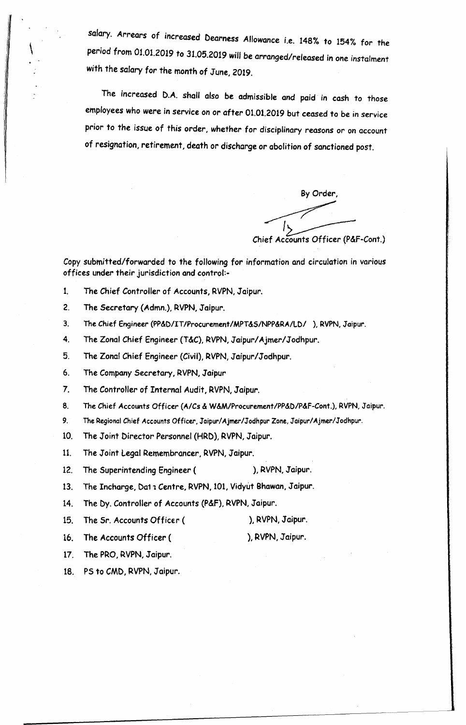salary. Arrears of increased Dearness Allowance i.e. 148% to 154% for th*e period* from 01.01.2019 to 31.05.2019 will be arranged/released in one instalment *with* the salary *for* the month of June, 2019.

The *increased* D.A. shall also be admissible and paid in cash to those employees who were in *service* on or after 01.01.2019 but ceased to be in service prior to the issue of this order, whether for disciplinary reasons or on account of resignation, retirement, death or discharge or abolition of sanctioned post.

By Order, By Order,<br>
Chief Accounts Officer (P&F-Cont.)

Copy submitted/forwarded to the following for information and circulation in various offices under their jurisdiction and control:-

- 1. The Chief Controller of Accounts, RVPN, Jaipur.
- 2. The Secretary {Admn.}, RVPN, Jaipur.

\

- 3. The Chief Engineer (PP&D/IT/Procurement/MPT&S/NPP&RA/LD/ ), RVPN, Jaipur.
- 4. The Zonal Chief Engineer (T&C), RVPN, Jaipur/Ajmer/Jodhpur.
- 5. The Zonal Chief Engineer (Civil), RVPN, Jaipur/Jodhpur.
- 6. The Company Secretary, RVPN, Jaipur
- 7. The Controller of Internal Audit, RVPN, Jaipur.
- 8. The *Chief* Accounts Officer *(A/Cs* & W&M/Procurement/PP&D/P&F·Cont.), RVPN, Jaipur.
- 9. The Regional*Chief* Accounts Officer. Jaipur/Ajmer/Jodhpur Zone, Jaipur/Ajmer/Jodhpur.
- 10. The Joint Director Personnel (HRD), RVPN, Jaipur.
- 11. The Joint Legal Remembrancer, RVPN, Jaipur.
- 12. The Superintending Engineer (
), RVPN, Jaipur.
- 13. The Incharge, Dat 1 Centre, RVPN, 101, Vidyut Bhawan, Jaipur.
- 14. The Dy. Controller of Accounts (P&F), RVPN, Jaipur.
- 15. The Sr. Accounts Officer (
), RVPN, Jaipur.
	-
- 16. The Accounts Officer (
- ), RVPN, Jaipur.
- 17. The PRO, RVPN, Jaipur.
- 18. PS to CMD, RVPN, Jaipur.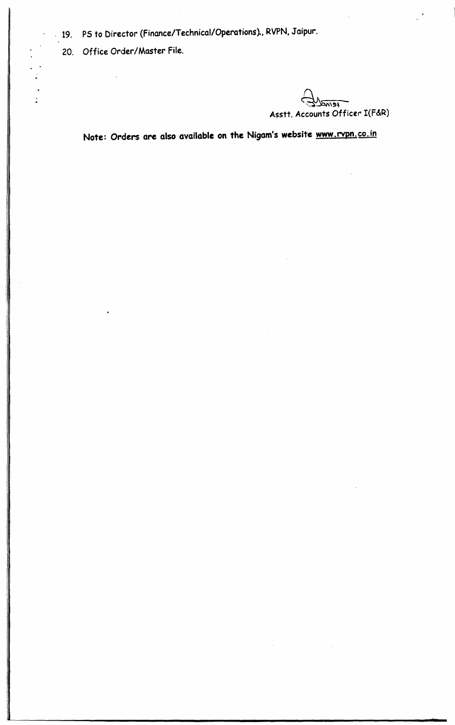- 19. PS to Director (Finance/Technical/Operations)., RVPN, Jaipur.
	- 20. Office Order/Master File.

 $\overline{\mathbf{r}(\mathbf{r})}$ ~ Asstt. Accounts Officer I(F&R)

Note: Orders are also available on the Nigam's website [www.rvpn.co.in](http://www.rvpn.co.in)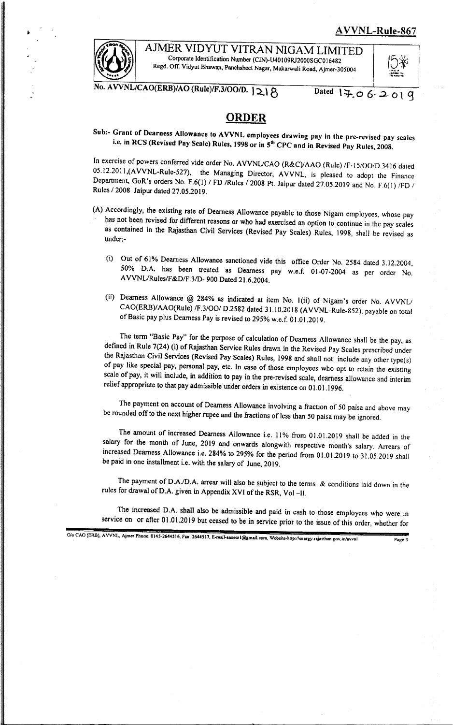### AVVNL-Rule-867



AJMER VIDYUT VITRAN NIGAM LIMITED Corporate Identification Number (CIN)·U40 109R)2000SGCO 16482 Regd. Off. Vidyut Bhawan, Panchsheel Nagar, Makarwali Road, Ajmer-305004

*NL/CAO(ERB)/AO (Rule)/F.3/OO/D.*  $|218$  Dated  $17.062019$ 

# ·.kuu;l' ••  $\overline{N}$  . Then,  $\overline{N}$  ,

# **ORDER**

Sub:- Grant of Dearness Allowance to AVVNL employees drawing pay in the pre-revised pay scales i.e. in RCS (Revised Pay Scale) Rules, 1998 or in 5<sup>th</sup> CPC and in Revised Pay Rules, 2008.

In exercise of powers conferred vide order No. AVVNUCAO (R&C)/AAO (Rule) */F.15/00iD.3416* dated 05.12.2011,(AVVNL-Rule-527), the Managing Director, AVVNL, is pleased to adopt the Finance Department, GoR's orders No. F.6(l) *I* FD IRules *12008* Pt. Jaipur dated 27.05.2019 and No. F.6(1) /FD *I* Rules *12008* Jaipur dated 27.05.2019.

- (A) Accordingly, the existing rate of Dearness Allowance payable to those Nigam employees, whose pay has not been revised for different reasons or who had exercised an option to continue in the pay scales as contained in the Rajasthan Civil Services (Revised Pay Scales) Rules, 1998, shall be revised as under.-
	- (i) Out of 61% Dearness Allowance sanctioned vide this office Order No. 2584 dated 3.12.2004, 50% D.A. has been treated as Dearness pay w.e.f. 01-07-2004 as per order No. A*VVNURules/F&D/F.3lD-* 900 Dated 21.6.2004.
	- (ii) Dearness Allowance @ 284% as indicated at item No. 1(ii) of Nigam's order No. AVVNL/ CAO(ERB)/AAO(Rule) *IF.3/001* D.2582 dated 31.10.2018 (AVVNL-Rule-852), payable on total of Basic pay plus Dearness Pay is revised to 295% w.e.f. 01.01.2019.

The term "Basic Pay" for the purpose of calculation of Dearness Allowance shall be the pay, as defined in Rule 7(24) (i) of Rajasthan Service Rules drawn in the Revised Pay Scales prescribed under the Rajasthan Civil Services (Revised Pay Scales) Rules, 1998 and shall not include any other type(s) of pay like special pay, personal pay, etc. In case of those employees who opt to retain the existing scale of pay, it will include, in addition to pay in the pre-revised scale, dearness allowance and interim relief appropriate to that pay admissible under orders in existence on 01.01.1996.

The payment on account of Dearness Allowance involving a fraction of 50 paisa and above may be rounded off to the next higher rupee and the fractions of less than 50 paisa may be ignored.

The amount of increased Dearness Allowance i.e. II % from 01.01.2019 shall be added in the salary for the month of June, 2019 and onwards alongwith respective month's salary. Arrears of increased Dearness Allowance i.e. 284% to 295% for the period from 01.01.2019 to 31.05.2019 shall be paid in one installment i.e. with the salary of June, 2019.

The payment of *D.A.ID.A.* arrear will also be subject to the terms & conditions laid down in the rules for drawal of D.A. given in Appendix XVI of the RSR, Vol-II.

The increased D.A. shall also be admissible and paid in cash to those employees who were in service on or after 01.01.2019 but ceased to be in service prior to the issue of this order, whether for

*Oio* CAO (ERB), AVVNI., Ajmer Phone: 0145-2644516. Fax: 2644517. E-mail-aaoecrl@gmail.com. Website-http://energy.rajasthan.gov.in/avvnl Page 3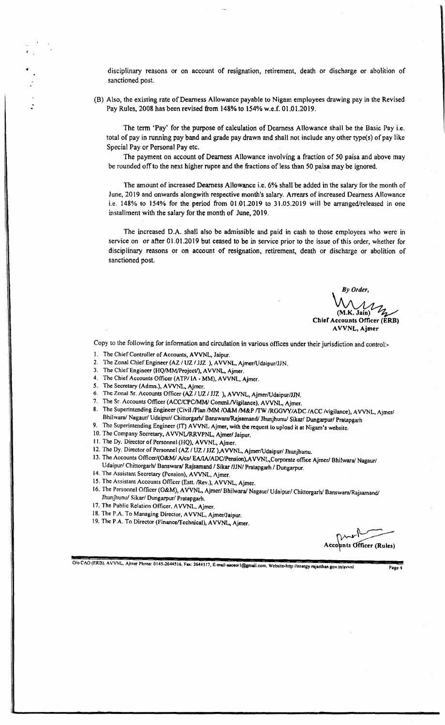disciplinary reasons or on account of resignation, retirement, death or discharge or abolition of sanctioned post.

(B) Also, the existing rate of Dearness Allowance payable to Nigam employees drawing pay in the Revised Pay Rules, 2008 has been revised from 148% to 154% w.e.f. 01.01.2019.

The term 'Pay' for the purpose of calculation of Dearness Allowance shall be the Basic Pay i.e. total of pay in running pay band and grade pay drawn and shall not include any other type(s) of pay like Special Payor Personal Pay etc.

The payment on account of Dearness Allowance involving a fraction of 50 paisa and above may be rounded off to the next higher rupee and the fractions of less than 50 paisa may be ignored.

The amount of increased Dearness Allowance i.e. 6% shall be added in the salary for the month of June, 2019 and onwards alongwith respective month's salary. Arrears of increased Dearness Allowance i.e. 148% to 154% for the period from 01.01.2019 to 31.05.2019 will be arranged/released in one installment with the salary for the month of June, 2019.

The increased D.A. shall also be admissible and paid in cash to those employees who were in service on or after 01.01.2019 but ceased to be in service prior to the issue of this order, whether for disciplinary reasons or on account of resignation, retirement, death or discharge or abolition of sanctioned post.

*By Order,* (M.K. Jain) سم (M.K. Jain)<br>Chief Accounts Officer (ERB)

AVVNL, Ajmer

Copy to the following for information and circulation in various offices under their jurisdiction and control-

- 1. The Chief Controller of Accounts, AVVNL, Jaipur.
- 2. The Zonal Chief Engineer (AZ / UZ / JJZ ), AVVNL, Ajmer/Udaipur/JJN.
- 3. The Chief Engineer (HQ/MM/Project/), AVVNL, Ajmer.
- 4. The Chief Accounts Officer *(ATP/IA -* MM), AVVNL, Ajmer.
- 5. The Secretary (Admn.), AVVNL. Ajmer.
- 6. The Zonal Sr. Accounts Officer (AZ *I* UZ *I* JJZ ), AVVNL, Ajmer/Udaipur/JJN.<br>7. The Sr. Accounts Officer (ACC/CPC/MM/Comml Nigilaneo), AU/NJL Ajmer.
- The Sr. Accounts Officer *(ACC/CPC/MM/ Comml./Vigilance)*, AVVNL, Ajmer.
- 8. The Superintending Engineer (Civil /Plan /MM /O&M /M&P /TW /RGGVY/ADC /ACC /vigilance), AVVNL. Ajmer/ Bhilwara/ Nagaur/ Udaipur/ Chittorgarh/ Banswara/Rajsamand/ Jhunjhunu/ Sikar/ Dungarpur/ Pratapgarh
- 9. The Superintending Engineer (IT) AVVNL Ajmer, with the request to upload it at Nigam's website.
- 10. The Company Secretary, AVVNL/RRVPNL, Ajmer/ Jaipur.
- II. The Dy. Director of Personnel (HQ). AVVNL, Ajmer.
- 12. The Dy. Director of Personnel (AZ / UZ / JJZ ), AVVNL, Ajmer/Udaipur/ Jhunjhunu.
- 13. The Accounts Officer/(O&M/ A/cs/ EA/IA/ADC/Pension),AVVNL,Corporate office Ajmer/ Bhilwara/ Nagaur/ Udaipur/ Chittorgarhl Banswara/ Rajsamand *I* Sikar */JINI* Pratapgarh *I* Dungarpur.
- 14. The Assistant Secretary (Pension), AVVNL, Ajmer,
- 15. The Assistant Accounts Officer (Estt. /Rev.), AVVNL, Ajmer.
- 16. The Personnel Officer (O&M), AVVNL, Ajmer/ Bhilwara/ Nagaur/ Udaipur/ Chittorgarh/ Banswara/Rajsamand/ Jhunjhunu/ Sikar/ Dungarpur/ Pratapgarh.
- 17. The Public Relation Officer. AVVNL. Ajmer.
- 18. The P.A. To Managing Director, AVVNL, Ajmer/Jaipur.
- 19. The P.A. To Director (Finance/Technicel), AVVNL, Ajmer.

*\v,y..y~* Accounts Officer (Rules)

*0/0 CAO* (F.RB), AVVNL. Ajrner Phone: 0145-2644516. Fax: 2644517. [E-moil-uoocrl@gmail.com,](mailto:E-moil-uoocrl@gmail.com,) [Website-http://energy.rtjasthan.gov.iniavvnl](http://Website-http://energy.rtjasthan.gov.iniavvnl) Page"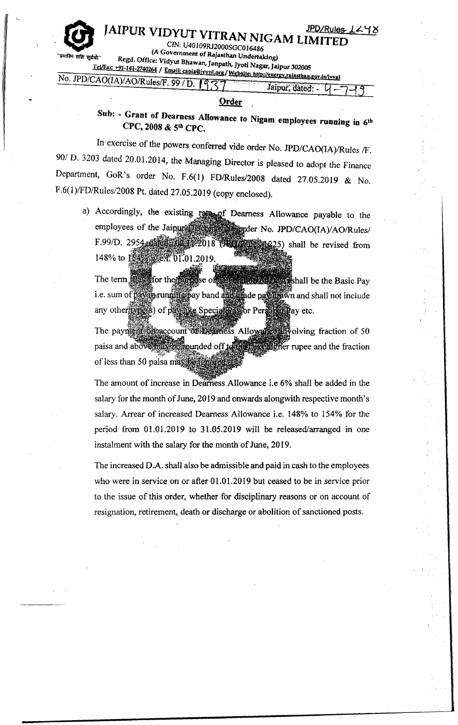Jaipur, dated: -

12

*CLIN:* U40109RJ2000SGC01648 A Government of Rajasthan Undertaking)<br>T<sup>under</sup> Regd. Office: Vidyut Bhawan, Jannath Troth Negeu

Tel/Fax: +91-141-2740264 / Email: caola@ivvnl.org/Website: http://energy.raiastban.gov.in/ivvnl<br>No. JPD/CAO(IA)/AO/Rules/F. 99 / D. 19 7 7

#### **Order**

Sub: - Grant of Dearness Allowance to Nigam employees running in 6th CPC, 2008 & 5th CPC.

In exercise of the powers conferred vide order No. *JPD/CAO(IA)/Rules* /F. *901* D. 3203 dated 20.01.2014, the Managing Director is pleased to adopt the Finance Department, GoR's order No. F.6(I) *FDIRules/2008* dated 27.05.2019 & No. F.6(1)/FD/Rules/2008 Pt. dated 27.05.2019 (copy enclosed).

a) Accordingly, the existing rate of Dearness Allowance payable to the employees of the Jaipur **Discommunicated** No. JPD/CAO(IA)/AO/Rules/ F.99/D. 2954-dated 102 [1.2018 (102 123 1225) shall be revised from 148% to 1540 w.e.f. 01.01.2019.

The term **Raw**for the **be the Basic Pay be the Basic Pay**  $\sec \sigma$ i.e. sum of pay in running pay band and a rade pay din wn and shall not include any other type(s) of pay like Special Payor Personal Pay etc.

The payment of account of beamess Allows fraction of 50 paisa and above max be rounded off to **The Eugher rupee and the fraction** of less than 50 paisa may be 12

The amount of increase in Dearness Allowance i.e 6% shall be added in the salary for the month of June, 2019 and onwards alongwith respective month's salary. Arrear of increased Dearness Allowance i.e. 148% to 154% for the period from  $01.01.2019$  to  $31.05.2019$  will be released/arranged in one instalment with the salary for the month of June, 2019.

The increased D.A. shall also be admissible and paid in cash to the employees who were in service on or after 01.01.2019 but ceased to be in service prior to the issue of this order, whether for disciplinary reasons or on account of resignation, retirement, death or discharge or abolition of sanctioned posts.

• I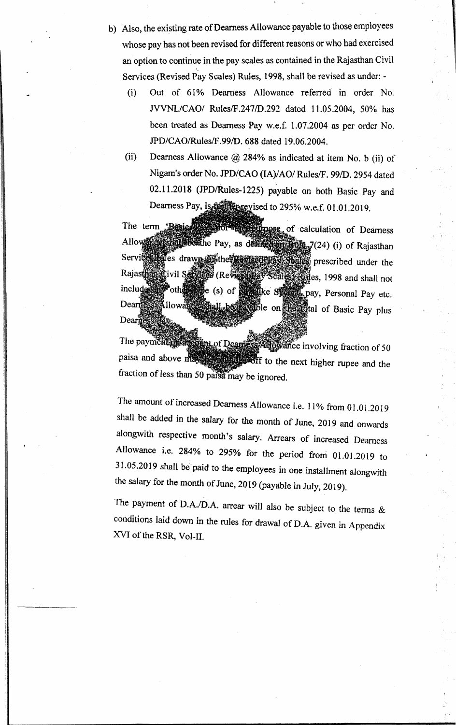- b) Also, the existing rate of Dearness Allowance payable to those employees whose pay has not been revised for different reasons or who had exercised an option to continue in the pay scales as contained in the Rajasthan Civil Services (Revised Pay Scales) Rules, 1998, shall be revised as under: -
	- (i) Out of 61% Dearness Allowance referred in order No. *NVNL/CAOI* RuleslF.2471D.292 dated 11.05.2004, 50% has been treated as Dearness Pay w.e.f. 1.07.2004 as per order No. *JPD/CAOlRuleslF.991D.* 688 dated 19.06.2004.
	- (ii) Dearness Allowance @ 284% as indicated at item No. b (ii) of Nigam's order No. *JPD/CAO* (IA)/AO/ Rules/F. 99/D. 2954 dated 02.11.2018 (JPD/Rules-1225) payable on both Basic Pay and Dearness Pay, is full applyised to 295% w.e.f. 01.01.2019.

The term : Basic or alcohology of calculation of Dearness Allows and Shapes of the Pay, as defined in Rule 7(24) (i) of Rajasthan Service tevies drawn in the Revised pay States prescribed under the Rajasthan Civil Services (Revised Pay Scales) Rules, 1998 and shall not e (s) of **produce** Speed, pay, Personal Pay etc. include **Ally** other Ilowance hall be as the condition of Basic Pay plus **Dearnes**  $\mathrm{Dear} \hat{\mathbf{n}}$ 

paisa and above fraction of less than 50 paisa may be ignored. The payment of assign tof Deamers Allowance involving fraction of 50 **the set of the next higher rupee and the** 

The amount of increased Dearness Allowance i.e. 11% from 01.01.2019 shall be added in the salary for the month of June, 2019 and onwards alongwith respective month's salary. Arrears of increased Dearness Allowance i.e. 284% to 295% for the period froni 01.01.2019 to  $31.05.2019$  shall be paid to the employees in one installment alongwith the salary for the month of June, 2019 (payable in July, 2019).

The payment of D.A./D.A. arrear will also be subject to the terms  $\&$ conditions laid down in the rules for drawal of D.A. given in Appendix XVI of the RSR, Vol-II.